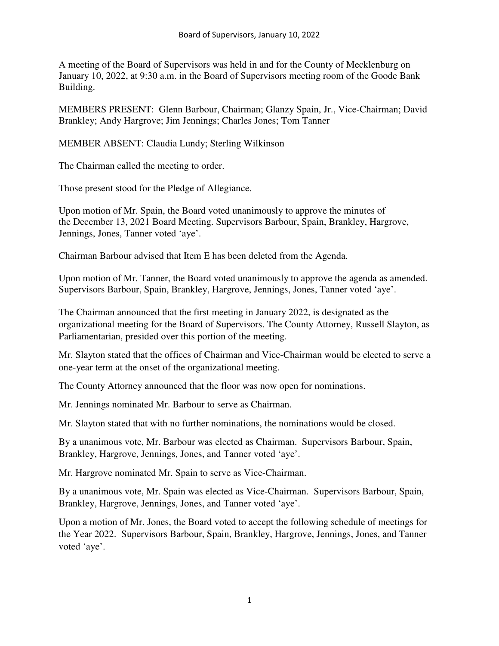A meeting of the Board of Supervisors was held in and for the County of Mecklenburg on January 10, 2022, at 9:30 a.m. in the Board of Supervisors meeting room of the Goode Bank Building.

MEMBERS PRESENT: Glenn Barbour, Chairman; Glanzy Spain, Jr., Vice-Chairman; David Brankley; Andy Hargrove; Jim Jennings; Charles Jones; Tom Tanner

MEMBER ABSENT: Claudia Lundy; Sterling Wilkinson

The Chairman called the meeting to order.

Those present stood for the Pledge of Allegiance.

Upon motion of Mr. Spain, the Board voted unanimously to approve the minutes of the December 13, 2021 Board Meeting. Supervisors Barbour, Spain, Brankley, Hargrove, Jennings, Jones, Tanner voted 'aye'.

Chairman Barbour advised that Item E has been deleted from the Agenda.

Upon motion of Mr. Tanner, the Board voted unanimously to approve the agenda as amended. Supervisors Barbour, Spain, Brankley, Hargrove, Jennings, Jones, Tanner voted 'aye'.

The Chairman announced that the first meeting in January 2022, is designated as the organizational meeting for the Board of Supervisors. The County Attorney, Russell Slayton, as Parliamentarian, presided over this portion of the meeting.

Mr. Slayton stated that the offices of Chairman and Vice-Chairman would be elected to serve a one-year term at the onset of the organizational meeting.

The County Attorney announced that the floor was now open for nominations.

Mr. Jennings nominated Mr. Barbour to serve as Chairman.

Mr. Slayton stated that with no further nominations, the nominations would be closed.

By a unanimous vote, Mr. Barbour was elected as Chairman. Supervisors Barbour, Spain, Brankley, Hargrove, Jennings, Jones, and Tanner voted 'aye'.

Mr. Hargrove nominated Mr. Spain to serve as Vice-Chairman.

By a unanimous vote, Mr. Spain was elected as Vice-Chairman. Supervisors Barbour, Spain, Brankley, Hargrove, Jennings, Jones, and Tanner voted 'aye'.

Upon a motion of Mr. Jones, the Board voted to accept the following schedule of meetings for the Year 2022. Supervisors Barbour, Spain, Brankley, Hargrove, Jennings, Jones, and Tanner voted 'aye'.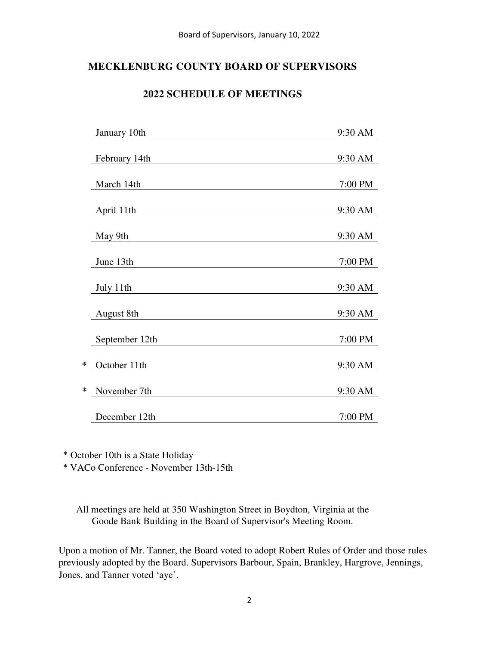# **MECKLENBURG COUNTY BOARD OF SUPERVISORS**

## **2022 SCHEDULE OF MEETINGS**

|   | January 10th   | 9:30 AM |
|---|----------------|---------|
|   | February 14th  | 9:30 AM |
|   | March 14th     | 7:00 PM |
|   | April 11th     | 9:30 AM |
|   | May 9th        | 9:30 AM |
|   | June 13th      | 7:00 PM |
|   | July 11th      | 9:30 AM |
|   | August 8th     | 9:30 AM |
|   | September 12th | 7:00 PM |
| * | October 11th   | 9:30 AM |
| * | November 7th   | 9:30 AM |
|   | December 12th  | 7:00 PM |

\* October 10th is a State Holiday

\* VACo Conference - November 13th-15th

All meetings are held at 350 Washington Street in Boydton, Virginia at the Goode Bank Building in the Board of Supervisor's Meeting Room.

Upon a motion of Mr. Tanner, the Board voted to adopt Robert Rules of Order and those rules previously adopted by the Board. Supervisors Barbour, Spain, Brankley, Hargrove, Jennings, Jones, and Tanner voted 'aye'.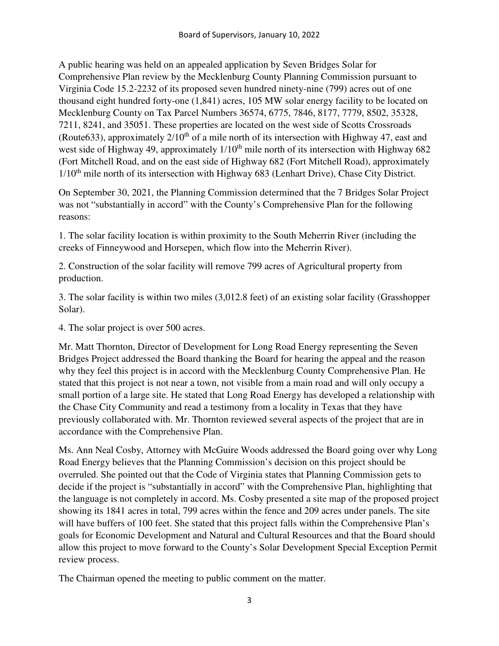A public hearing was held on an appealed application by Seven Bridges Solar for Comprehensive Plan review by the Mecklenburg County Planning Commission pursuant to Virginia Code 15.2-2232 of its proposed seven hundred ninety-nine (799) acres out of one thousand eight hundred forty-one (1,841) acres, 105 MW solar energy facility to be located on Mecklenburg County on Tax Parcel Numbers 36574, 6775, 7846, 8177, 7779, 8502, 35328, 7211, 8241, and 35051. These properties are located on the west side of Scotts Crossroads (Route 633), approximately  $2/10^{th}$  of a mile north of its intersection with Highway 47, east and west side of Highway 49, approximately  $1/10<sup>th</sup>$  mile north of its intersection with Highway 682 (Fort Mitchell Road, and on the east side of Highway 682 (Fort Mitchell Road), approximately  $1/10<sup>th</sup>$  mile north of its intersection with Highway 683 (Lenhart Drive), Chase City District.

On September 30, 2021, the Planning Commission determined that the 7 Bridges Solar Project was not "substantially in accord" with the County's Comprehensive Plan for the following reasons:

1. The solar facility location is within proximity to the South Meherrin River (including the creeks of Finneywood and Horsepen, which flow into the Meherrin River).

2. Construction of the solar facility will remove 799 acres of Agricultural property from production.

3. The solar facility is within two miles (3,012.8 feet) of an existing solar facility (Grasshopper Solar).

4. The solar project is over 500 acres.

Mr. Matt Thornton, Director of Development for Long Road Energy representing the Seven Bridges Project addressed the Board thanking the Board for hearing the appeal and the reason why they feel this project is in accord with the Mecklenburg County Comprehensive Plan. He stated that this project is not near a town, not visible from a main road and will only occupy a small portion of a large site. He stated that Long Road Energy has developed a relationship with the Chase City Community and read a testimony from a locality in Texas that they have previously collaborated with. Mr. Thornton reviewed several aspects of the project that are in accordance with the Comprehensive Plan.

Ms. Ann Neal Cosby, Attorney with McGuire Woods addressed the Board going over why Long Road Energy believes that the Planning Commission's decision on this project should be overruled. She pointed out that the Code of Virginia states that Planning Commission gets to decide if the project is "substantially in accord" with the Comprehensive Plan, highlighting that the language is not completely in accord. Ms. Cosby presented a site map of the proposed project showing its 1841 acres in total, 799 acres within the fence and 209 acres under panels. The site will have buffers of 100 feet. She stated that this project falls within the Comprehensive Plan's goals for Economic Development and Natural and Cultural Resources and that the Board should allow this project to move forward to the County's Solar Development Special Exception Permit review process.

The Chairman opened the meeting to public comment on the matter.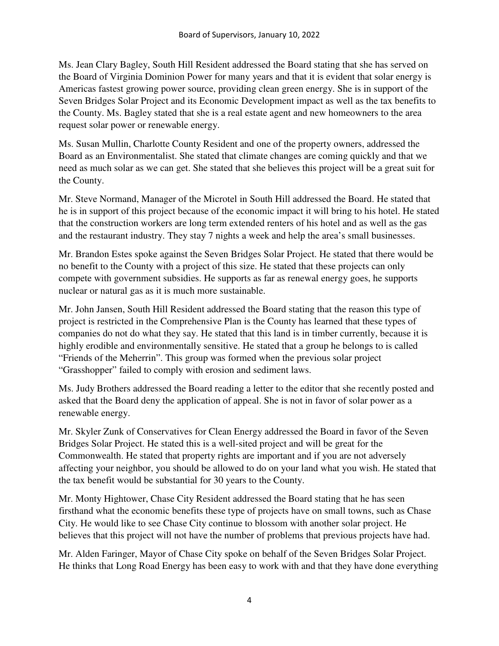Ms. Jean Clary Bagley, South Hill Resident addressed the Board stating that she has served on the Board of Virginia Dominion Power for many years and that it is evident that solar energy is Americas fastest growing power source, providing clean green energy. She is in support of the Seven Bridges Solar Project and its Economic Development impact as well as the tax benefits to the County. Ms. Bagley stated that she is a real estate agent and new homeowners to the area request solar power or renewable energy.

Ms. Susan Mullin, Charlotte County Resident and one of the property owners, addressed the Board as an Environmentalist. She stated that climate changes are coming quickly and that we need as much solar as we can get. She stated that she believes this project will be a great suit for the County.

Mr. Steve Normand, Manager of the Microtel in South Hill addressed the Board. He stated that he is in support of this project because of the economic impact it will bring to his hotel. He stated that the construction workers are long term extended renters of his hotel and as well as the gas and the restaurant industry. They stay 7 nights a week and help the area's small businesses.

Mr. Brandon Estes spoke against the Seven Bridges Solar Project. He stated that there would be no benefit to the County with a project of this size. He stated that these projects can only compete with government subsidies. He supports as far as renewal energy goes, he supports nuclear or natural gas as it is much more sustainable.

Mr. John Jansen, South Hill Resident addressed the Board stating that the reason this type of project is restricted in the Comprehensive Plan is the County has learned that these types of companies do not do what they say. He stated that this land is in timber currently, because it is highly erodible and environmentally sensitive. He stated that a group he belongs to is called "Friends of the Meherrin". This group was formed when the previous solar project "Grasshopper" failed to comply with erosion and sediment laws.

Ms. Judy Brothers addressed the Board reading a letter to the editor that she recently posted and asked that the Board deny the application of appeal. She is not in favor of solar power as a renewable energy.

Mr. Skyler Zunk of Conservatives for Clean Energy addressed the Board in favor of the Seven Bridges Solar Project. He stated this is a well-sited project and will be great for the Commonwealth. He stated that property rights are important and if you are not adversely affecting your neighbor, you should be allowed to do on your land what you wish. He stated that the tax benefit would be substantial for 30 years to the County.

Mr. Monty Hightower, Chase City Resident addressed the Board stating that he has seen firsthand what the economic benefits these type of projects have on small towns, such as Chase City. He would like to see Chase City continue to blossom with another solar project. He believes that this project will not have the number of problems that previous projects have had.

Mr. Alden Faringer, Mayor of Chase City spoke on behalf of the Seven Bridges Solar Project. He thinks that Long Road Energy has been easy to work with and that they have done everything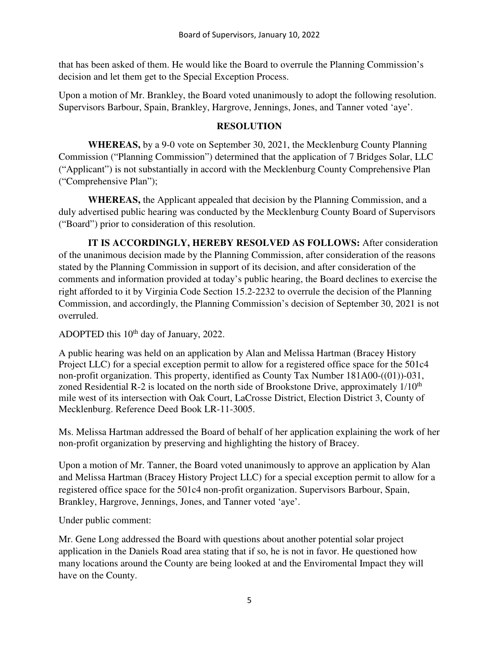that has been asked of them. He would like the Board to overrule the Planning Commission's decision and let them get to the Special Exception Process.

Upon a motion of Mr. Brankley, the Board voted unanimously to adopt the following resolution. Supervisors Barbour, Spain, Brankley, Hargrove, Jennings, Jones, and Tanner voted 'aye'.

#### **RESOLUTION**

 **WHEREAS,** by a 9-0 vote on September 30, 2021, the Mecklenburg County Planning Commission ("Planning Commission") determined that the application of 7 Bridges Solar, LLC ("Applicant") is not substantially in accord with the Mecklenburg County Comprehensive Plan ("Comprehensive Plan");

 **WHEREAS,** the Applicant appealed that decision by the Planning Commission, and a duly advertised public hearing was conducted by the Mecklenburg County Board of Supervisors ("Board") prior to consideration of this resolution.

 **IT IS ACCORDINGLY, HEREBY RESOLVED AS FOLLOWS:** After consideration of the unanimous decision made by the Planning Commission, after consideration of the reasons stated by the Planning Commission in support of its decision, and after consideration of the comments and information provided at today's public hearing, the Board declines to exercise the right afforded to it by Virginia Code Section 15.2-2232 to overrule the decision of the Planning Commission, and accordingly, the Planning Commission's decision of September 30, 2021 is not overruled.

ADOPTED this  $10<sup>th</sup>$  day of January, 2022.

A public hearing was held on an application by Alan and Melissa Hartman (Bracey History Project LLC) for a special exception permit to allow for a registered office space for the 501c4 non-profit organization. This property, identified as County Tax Number 181A00-((01))-031, zoned Residential R-2 is located on the north side of Brookstone Drive, approximately  $1/10^{th}$ mile west of its intersection with Oak Court, LaCrosse District, Election District 3, County of Mecklenburg. Reference Deed Book LR-11-3005.

Ms. Melissa Hartman addressed the Board of behalf of her application explaining the work of her non-profit organization by preserving and highlighting the history of Bracey.

Upon a motion of Mr. Tanner, the Board voted unanimously to approve an application by Alan and Melissa Hartman (Bracey History Project LLC) for a special exception permit to allow for a registered office space for the 501c4 non-profit organization. Supervisors Barbour, Spain, Brankley, Hargrove, Jennings, Jones, and Tanner voted 'aye'.

Under public comment:

Mr. Gene Long addressed the Board with questions about another potential solar project application in the Daniels Road area stating that if so, he is not in favor. He questioned how many locations around the County are being looked at and the Enviromental Impact they will have on the County.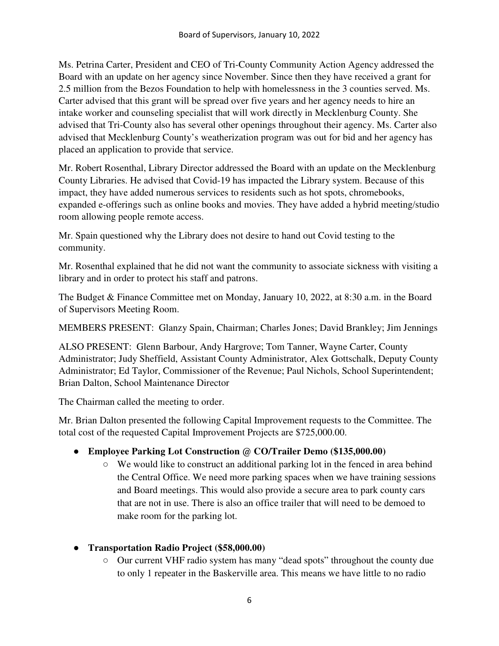Ms. Petrina Carter, President and CEO of Tri-County Community Action Agency addressed the Board with an update on her agency since November. Since then they have received a grant for 2.5 million from the Bezos Foundation to help with homelessness in the 3 counties served. Ms. Carter advised that this grant will be spread over five years and her agency needs to hire an intake worker and counseling specialist that will work directly in Mecklenburg County. She advised that Tri-County also has several other openings throughout their agency. Ms. Carter also advised that Mecklenburg County's weatherization program was out for bid and her agency has placed an application to provide that service.

Mr. Robert Rosenthal, Library Director addressed the Board with an update on the Mecklenburg County Libraries. He advised that Covid-19 has impacted the Library system. Because of this impact, they have added numerous services to residents such as hot spots, chromebooks, expanded e-offerings such as online books and movies. They have added a hybrid meeting/studio room allowing people remote access.

Mr. Spain questioned why the Library does not desire to hand out Covid testing to the community.

Mr. Rosenthal explained that he did not want the community to associate sickness with visiting a library and in order to protect his staff and patrons.

The Budget & Finance Committee met on Monday, January 10, 2022, at 8:30 a.m. in the Board of Supervisors Meeting Room.

MEMBERS PRESENT: Glanzy Spain, Chairman; Charles Jones; David Brankley; Jim Jennings

ALSO PRESENT: Glenn Barbour, Andy Hargrove; Tom Tanner, Wayne Carter, County Administrator; Judy Sheffield, Assistant County Administrator, Alex Gottschalk, Deputy County Administrator; Ed Taylor, Commissioner of the Revenue; Paul Nichols, School Superintendent; Brian Dalton, School Maintenance Director

The Chairman called the meeting to order.

Mr. Brian Dalton presented the following Capital Improvement requests to the Committee. The total cost of the requested Capital Improvement Projects are \$725,000.00.

# ● **Employee Parking Lot Construction @ CO/Trailer Demo (\$135,000.00)**

- We would like to construct an additional parking lot in the fenced in area behind the Central Office. We need more parking spaces when we have training sessions and Board meetings. This would also provide a secure area to park county cars that are not in use. There is also an office trailer that will need to be demoed to make room for the parking lot.
- **Transportation Radio Project (\$58,000.00)** 
	- Our current VHF radio system has many "dead spots" throughout the county due to only 1 repeater in the Baskerville area. This means we have little to no radio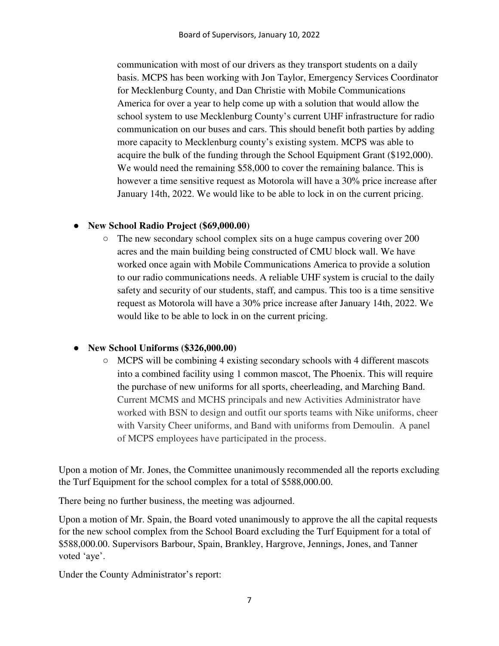communication with most of our drivers as they transport students on a daily basis. MCPS has been working with Jon Taylor, Emergency Services Coordinator for Mecklenburg County, and Dan Christie with Mobile Communications America for over a year to help come up with a solution that would allow the school system to use Mecklenburg County's current UHF infrastructure for radio communication on our buses and cars. This should benefit both parties by adding more capacity to Mecklenburg county's existing system. MCPS was able to acquire the bulk of the funding through the School Equipment Grant (\$192,000). We would need the remaining \$58,000 to cover the remaining balance. This is however a time sensitive request as Motorola will have a 30% price increase after January 14th, 2022. We would like to be able to lock in on the current pricing.

## ● **New School Radio Project (\$69,000.00)**

○ The new secondary school complex sits on a huge campus covering over 200 acres and the main building being constructed of CMU block wall. We have worked once again with Mobile Communications America to provide a solution to our radio communications needs. A reliable UHF system is crucial to the daily safety and security of our students, staff, and campus. This too is a time sensitive request as Motorola will have a 30% price increase after January 14th, 2022. We would like to be able to lock in on the current pricing.

#### ● **New School Uniforms (\$326,000.00)**

 $\circ$  MCPS will be combining 4 existing secondary schools with 4 different mascots into a combined facility using 1 common mascot, The Phoenix. This will require the purchase of new uniforms for all sports, cheerleading, and Marching Band. Current MCMS and MCHS principals and new Activities Administrator have worked with BSN to design and outfit our sports teams with Nike uniforms, cheer with Varsity Cheer uniforms, and Band with uniforms from Demoulin. A panel of MCPS employees have participated in the process.

Upon a motion of Mr. Jones, the Committee unanimously recommended all the reports excluding the Turf Equipment for the school complex for a total of \$588,000.00.

There being no further business, the meeting was adjourned.

Upon a motion of Mr. Spain, the Board voted unanimously to approve the all the capital requests for the new school complex from the School Board excluding the Turf Equipment for a total of \$588,000.00. Supervisors Barbour, Spain, Brankley, Hargrove, Jennings, Jones, and Tanner voted 'aye'.

Under the County Administrator's report: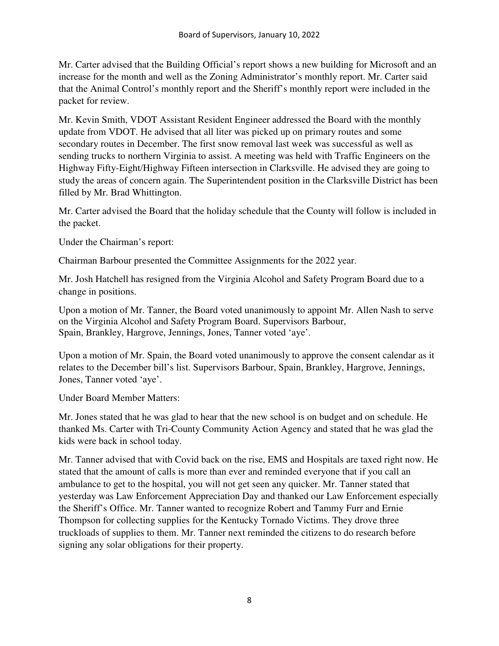Mr. Carter advised that the Building Official's report shows a new building for Microsoft and an increase for the month and well as the Zoning Administrator's monthly report. Mr. Carter said that the Animal Control's monthly report and the Sheriff's monthly report were included in the packet for review.

Mr. Kevin Smith, VDOT Assistant Resident Engineer addressed the Board with the monthly update from VDOT. He advised that all liter was picked up on primary routes and some secondary routes in December. The first snow removal last week was successful as well as sending trucks to northern Virginia to assist. A meeting was held with Traffic Engineers on the Highway Fifty-Eight/Highway Fifteen intersection in Clarksville. He advised they are going to study the areas of concern again. The Superintendent position in the Clarksville District has been filled by Mr. Brad Whittington.

Mr. Carter advised the Board that the holiday schedule that the County will follow is included in the packet.

Under the Chairman's report:

Chairman Barbour presented the Committee Assignments for the 2022 year.

Mr. Josh Hatchell has resigned from the Virginia Alcohol and Safety Program Board due to a change in positions.

Upon a motion of Mr. Tanner, the Board voted unanimously to appoint Mr. Allen Nash to serve on the Virginia Alcohol and Safety Program Board. Supervisors Barbour, Spain, Brankley, Hargrove, Jennings, Jones, Tanner voted 'aye'.

Upon a motion of Mr. Spain, the Board voted unanimously to approve the consent calendar as it relates to the December bill's list. Supervisors Barbour, Spain, Brankley, Hargrove, Jennings, Jones, Tanner voted 'aye'.

Under Board Member Matters:

Mr. Jones stated that he was glad to hear that the new school is on budget and on schedule. He thanked Ms. Carter with Tri-County Community Action Agency and stated that he was glad the kids were back in school today.

Mr. Tanner advised that with Covid back on the rise, EMS and Hospitals are taxed right now. He stated that the amount of calls is more than ever and reminded everyone that if you call an ambulance to get to the hospital, you will not get seen any quicker. Mr. Tanner stated that yesterday was Law Enforcement Appreciation Day and thanked our Law Enforcement especially the Sheriff's Office. Mr. Tanner wanted to recognize Robert and Tammy Furr and Ernie Thompson for collecting supplies for the Kentucky Tornado Victims. They drove three truckloads of supplies to them. Mr. Tanner next reminded the citizens to do research before signing any solar obligations for their property.